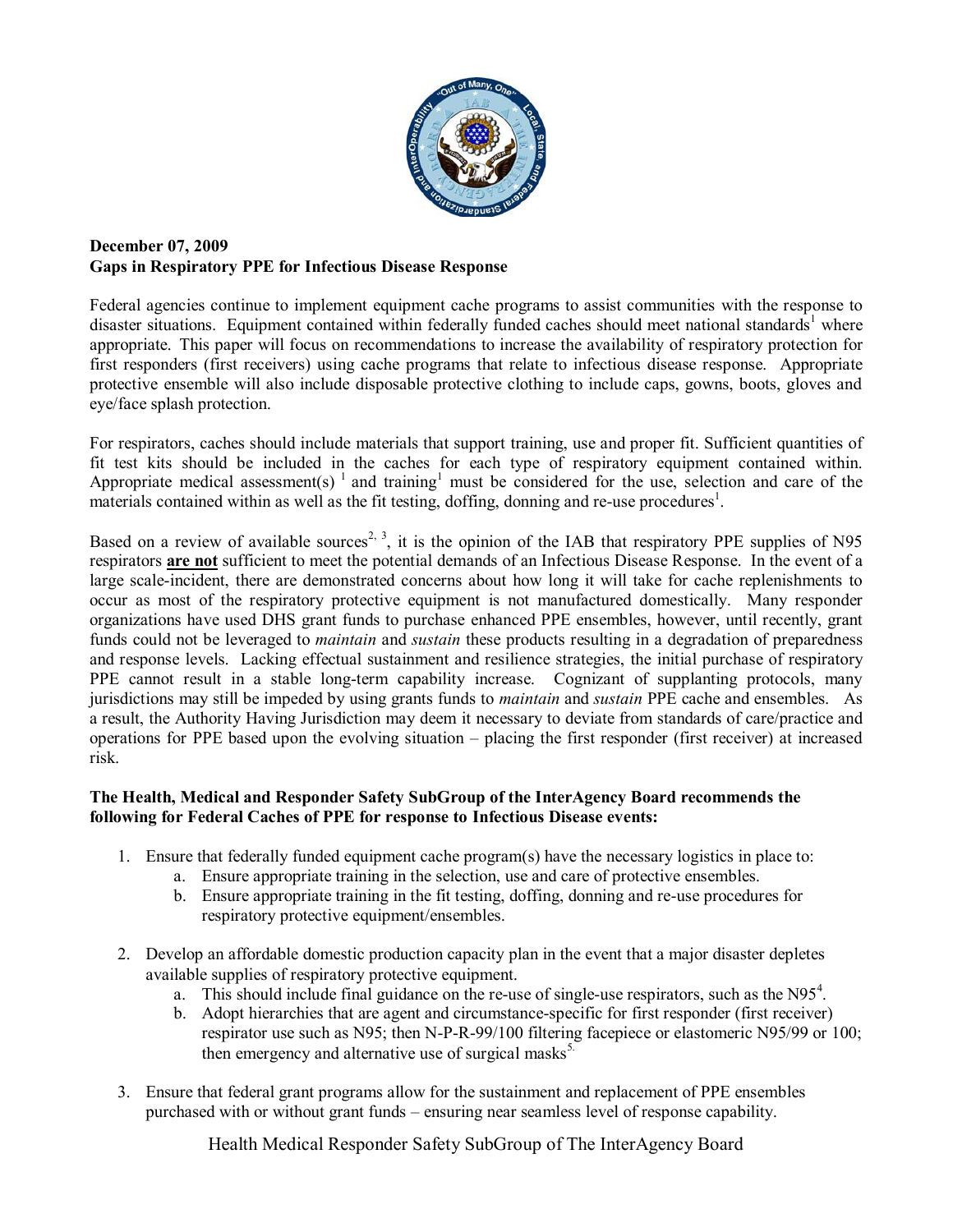

## **December 07, 2009 Gaps in Respiratory PPE for Infectious Disease Response**

Federal agencies continue to implement equipment cache programs to assist communities with the response to disaster situations. Equipment contained within federally funded caches should meet national standards<sup>1</sup> where appropriate. This paper will focus on recommendations to increase the availability of respiratory protection for first responders (first receivers) using cache programs that relate to infectious disease response. Appropriate protective ensemble will also include disposable protective clothing to include caps, gowns, boots, gloves and eye/face splash protection.

For respirators, caches should include materials that support training, use and proper fit. Sufficient quantities of fit test kits should be included in the caches for each type of respiratory equipment contained within. Appropriate medical assessment(s)  $\frac{1}{1}$  and training must be considered for the use, selection and care of the materials contained within as well as the fit testing, doffing, donning and re-use procedures<sup>1</sup>.

Based on a review of available sources<sup>2, 3</sup>, it is the opinion of the IAB that respiratory PPE supplies of N95 respirators **are not** sufficient to meet the potential demands of an Infectious Disease Response. In the event of a large scale-incident, there are demonstrated concerns about how long it will take for cache replenishments to occur as most of the respiratory protective equipment is not manufactured domestically. Many responder organizations have used DHS grant funds to purchase enhanced PPE ensembles, however, until recently, grant funds could not be leveraged to *maintain* and *sustain* these products resulting in a degradation of preparedness and response levels. Lacking effectual sustainment and resilience strategies, the initial purchase of respiratory PPE cannot result in a stable long-term capability increase. Cognizant of supplanting protocols, many jurisdictions may still be impeded by using grants funds to *maintain* and *sustain* PPE cache and ensembles. As a result, the Authority Having Jurisdiction may deem it necessary to deviate from standards of care/practice and operations for PPE based upon the evolving situation – placing the first responder (first receiver) at increased risk.

## **The Health, Medical and Responder Safety SubGroup of the InterAgency Board recommends the following for Federal Caches of PPE for response to Infectious Disease events:**

- 1. Ensure that federally funded equipment cache program(s) have the necessary logistics in place to:
	- a. Ensure appropriate training in the selection, use and care of protective ensembles.
	- b. Ensure appropriate training in the fit testing, doffing, donning and re-use procedures for respiratory protective equipment/ensembles.
- 2. Develop an affordable domestic production capacity plan in the event that a major disaster depletes available supplies of respiratory protective equipment.
	- a. This should include final guidance on the re-use of single-use respirators, such as the  $N95<sup>4</sup>$ .
	- b. Adopt hierarchies that are agent and circumstance-specific for first responder (first receiver) respirator use such as N95; then N-P-R-99/100 filtering facepiece or elastomeric N95/99 or 100; then emergency and alternative use of surgical masks<sup>5.</sup>
- 3. Ensure that federal grant programs allow for the sustainment and replacement of PPE ensembles purchased with or without grant funds – ensuring near seamless level of response capability.

Health Medical Responder Safety SubGroup of The InterAgency Board